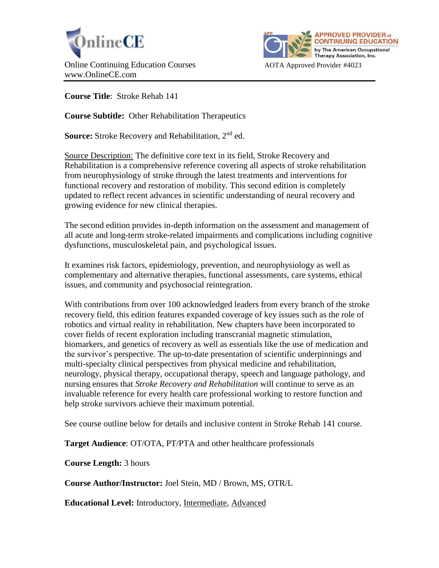



**Course Title**: Stroke Rehab 141

**Course Subtitle:** Other Rehabilitation Therapeutics

**Source:** Stroke Recovery and Rehabilitation, 2<sup>nd</sup> ed.

Source Description: The definitive core text in its field, Stroke Recovery and Rehabilitation is a comprehensive reference covering all aspects of stroke rehabilitation from neurophysiology of stroke through the latest treatments and interventions for functional recovery and restoration of mobility. This second edition is completely updated to reflect recent advances in scientific understanding of neural recovery and growing evidence for new clinical therapies.

The second edition provides in-depth information on the assessment and management of all acute and long-term stroke-related impairments and complications including cognitive dysfunctions, musculoskeletal pain, and psychological issues.

It examines risk factors, epidemiology, prevention, and neurophysiology as well as complementary and alternative therapies, functional assessments, care systems, ethical issues, and community and psychosocial reintegration.

With contributions from over 100 acknowledged leaders from every branch of the stroke recovery field, this edition features expanded coverage of key issues such as the role of robotics and virtual reality in rehabilitation. New chapters have been incorporated to cover fields of recent exploration including transcranial magnetic stimulation, biomarkers, and genetics of recovery as well as essentials like the use of medication and the survivor's perspective. The up-to-date presentation of scientific underpinnings and multi-specialty clinical perspectives from physical medicine and rehabilitation, neurology, physical therapy, occupational therapy, speech and language pathology, and nursing ensures that *Stroke Recovery and Rehabilitation* will continue to serve as an invaluable reference for every health care professional working to restore function and help stroke survivors achieve their maximum potential.

See course outline below for details and inclusive content in Stroke Rehab 141 course.

**Target Audience**: OT/OTA, PT/PTA and other healthcare professionals

**Course Length:** 3 hours

**Course Author/Instructor:** Joel Stein, MD / Brown, MS, OTR/L

**Educational Level:** Introductory, Intermediate, Advanced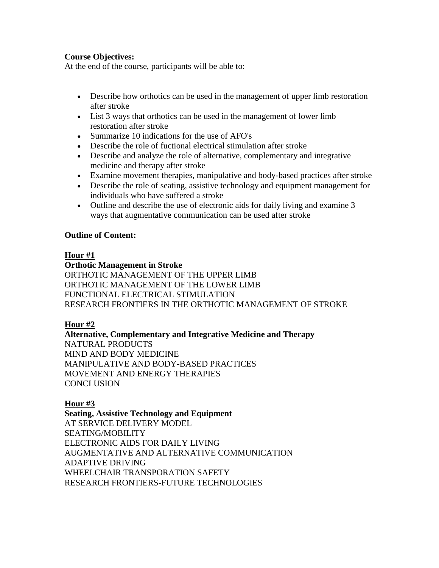## **Course Objectives:**

At the end of the course, participants will be able to:

- Describe how orthotics can be used in the management of upper limb restoration after stroke
- List 3 ways that orthotics can be used in the management of lower limb restoration after stroke
- Summarize 10 indications for the use of AFO's
- Describe the role of fuctional electrical stimulation after stroke
- Describe and analyze the role of alternative, complementary and integrative medicine and therapy after stroke
- Examine movement therapies, manipulative and body-based practices after stroke
- Describe the role of seating, assistive technology and equipment management for individuals who have suffered a stroke
- Outline and describe the use of electronic aids for daily living and examine 3 ways that augmentative communication can be used after stroke

### **Outline of Content:**

### **Hour #1**

### **Orthotic Management in Stroke**

ORTHOTIC MANAGEMENT OF THE UPPER LIMB ORTHOTIC MANAGEMENT OF THE LOWER LIMB FUNCTIONAL ELECTRICAL STIMULATION RESEARCH FRONTIERS IN THE ORTHOTIC MANAGEMENT OF STROKE

### **Hour #2**

**Alternative, Complementary and Integrative Medicine and Therapy** NATURAL PRODUCTS MIND AND BODY MEDICINE MANIPULATIVE AND BODY-BASED PRACTICES MOVEMENT AND ENERGY THERAPIES **CONCLUSION** 

# **Hour #3**

**Seating, Assistive Technology and Equipment** AT SERVICE DELIVERY MODEL SEATING/MOBILITY ELECTRONIC AIDS FOR DAILY LIVING AUGMENTATIVE AND ALTERNATIVE COMMUNICATION ADAPTIVE DRIVING WHEELCHAIR TRANSPORATION SAFETY RESEARCH FRONTIERS-FUTURE TECHNOLOGIES